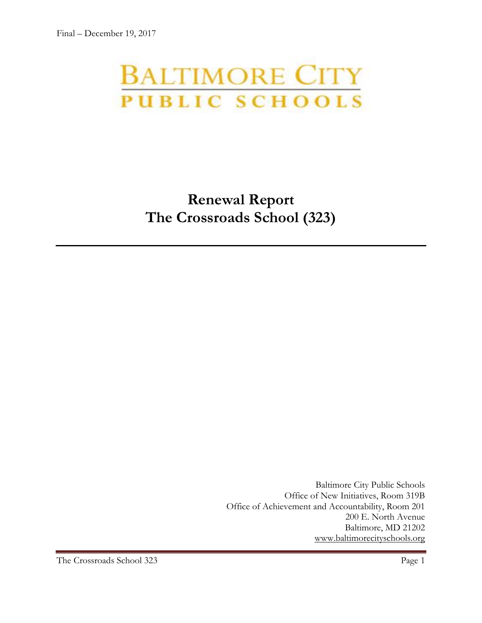# **BALTIMORE CITY** PUBLIC SCHOOLS

# **Renewal Report The Crossroads School (323)**

Baltimore City Public Schools Office of New Initiatives, Room 319B Office of Achievement and Accountability, Room 201 200 E. North Avenue Baltimore, MD 21202 [www.baltimorecityschools.org](http://www.baltimorecityschools.org/)

The Crossroads School 323 Page 1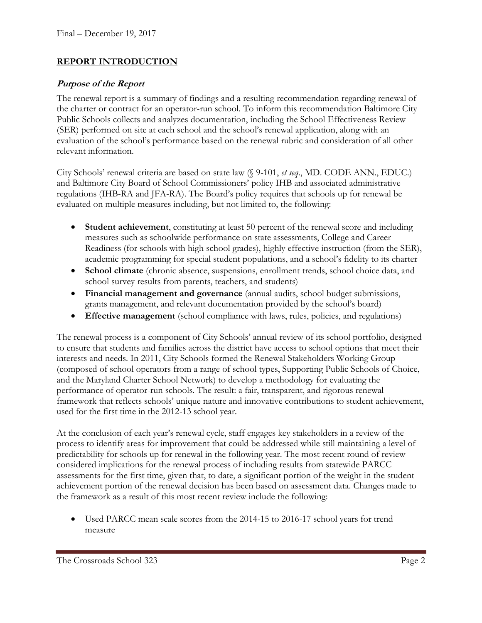#### **REPORT INTRODUCTION**

#### **Purpose of the Report**

The renewal report is a summary of findings and a resulting recommendation regarding renewal of the charter or contract for an operator-run school. To inform this recommendation Baltimore City Public Schools collects and analyzes documentation, including the School Effectiveness Review (SER) performed on site at each school and the school's renewal application, along with an evaluation of the school's performance based on the renewal rubric and consideration of all other relevant information.

City Schools' renewal criteria are based on state law (§ 9-101, *et seq*., MD. CODE ANN., EDUC.) and Baltimore City Board of School Commissioners' policy IHB and associated administrative regulations (IHB-RA and JFA-RA). The Board's policy requires that schools up for renewal be evaluated on multiple measures including, but not limited to, the following:

- **Student achievement**, constituting at least 50 percent of the renewal score and including measures such as schoolwide performance on state assessments, College and Career Readiness (for schools with high school grades), highly effective instruction (from the SER), academic programming for special student populations, and a school's fidelity to its charter
- **School climate** (chronic absence, suspensions, enrollment trends, school choice data, and school survey results from parents, teachers, and students)
- **Financial management and governance** (annual audits, school budget submissions, grants management, and relevant documentation provided by the school's board)
- **Effective management** (school compliance with laws, rules, policies, and regulations)

The renewal process is a component of City Schools' annual review of its school portfolio, designed to ensure that students and families across the district have access to school options that meet their interests and needs. In 2011, City Schools formed the Renewal Stakeholders Working Group (composed of school operators from a range of school types, Supporting Public Schools of Choice, and the Maryland Charter School Network) to develop a methodology for evaluating the performance of operator-run schools. The result: a fair, transparent, and rigorous renewal framework that reflects schools' unique nature and innovative contributions to student achievement, used for the first time in the 2012-13 school year.

At the conclusion of each year's renewal cycle, staff engages key stakeholders in a review of the process to identify areas for improvement that could be addressed while still maintaining a level of predictability for schools up for renewal in the following year. The most recent round of review considered implications for the renewal process of including results from statewide PARCC assessments for the first time, given that, to date, a significant portion of the weight in the student achievement portion of the renewal decision has been based on assessment data. Changes made to the framework as a result of this most recent review include the following:

 Used PARCC mean scale scores from the 2014-15 to 2016-17 school years for trend measure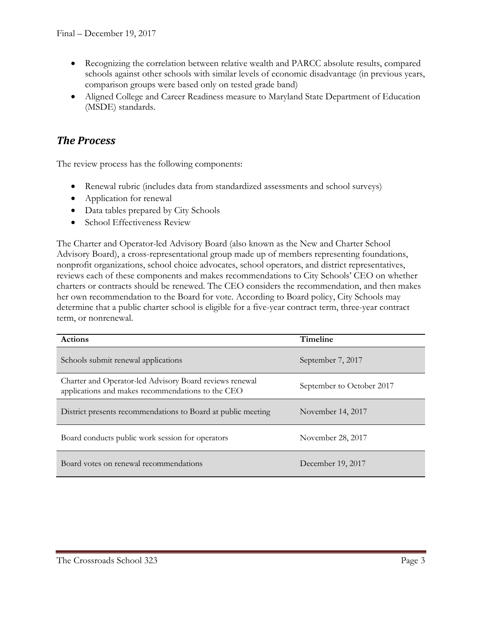- Recognizing the correlation between relative wealth and PARCC absolute results, compared schools against other schools with similar levels of economic disadvantage (in previous years, comparison groups were based only on tested grade band)
- Aligned College and Career Readiness measure to Maryland State Department of Education (MSDE) standards.

### *The Process*

The review process has the following components:

- Renewal rubric (includes data from standardized assessments and school surveys)
- Application for renewal
- Data tables prepared by City Schools
- School Effectiveness Review

The Charter and Operator-led Advisory Board (also known as the New and Charter School Advisory Board), a cross-representational group made up of members representing foundations, nonprofit organizations, school choice advocates, school operators, and district representatives, reviews each of these components and makes recommendations to City Schools' CEO on whether charters or contracts should be renewed. The CEO considers the recommendation, and then makes her own recommendation to the Board for vote. According to Board policy, City Schools may determine that a public charter school is eligible for a five-year contract term, three-year contract term, or nonrenewal.

| <b>Actions</b>                                                                                               | <b>Timeline</b>           |  |
|--------------------------------------------------------------------------------------------------------------|---------------------------|--|
| Schools submit renewal applications                                                                          | September 7, 2017         |  |
| Charter and Operator-led Advisory Board reviews renewal<br>applications and makes recommendations to the CEO | September to October 2017 |  |
| District presents recommendations to Board at public meeting                                                 | November 14, 2017         |  |
| Board conducts public work session for operators                                                             | November 28, 2017         |  |
| Board votes on renewal recommendations                                                                       | December 19, 2017         |  |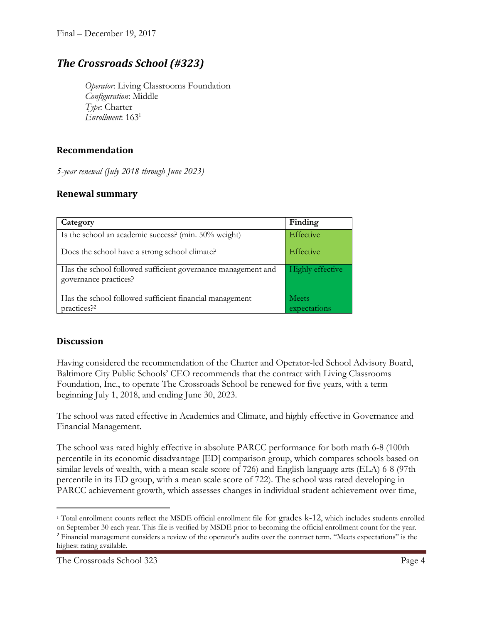## *The Crossroads School (#323)*

*Operator*: Living Classrooms Foundation *Configuration*: Middle *Type*: Charter *Enrollment*: 163<sup>1</sup>

#### **Recommendation**

*5-year renewal (July 2018 through June 2023)*

#### **Renewal summary**

| Category                                                                              | Finding               |
|---------------------------------------------------------------------------------------|-----------------------|
| Is the school an academic success? (min. 50% weight)                                  | Effective             |
| Does the school have a strong school climate?                                         | Effective             |
| Has the school followed sufficient governance management and<br>governance practices? | Highly effective      |
| Has the school followed sufficient financial management<br>practices? <sup>2</sup>    | Meets<br>expectations |

#### **Discussion**

 $\overline{\phantom{a}}$ 

Having considered the recommendation of the Charter and Operator-led School Advisory Board, Baltimore City Public Schools' CEO recommends that the contract with Living Classrooms Foundation, Inc., to operate The Crossroads School be renewed for five years, with a term beginning July 1, 2018, and ending June 30, 2023.

The school was rated effective in Academics and Climate, and highly effective in Governance and Financial Management.

The school was rated highly effective in absolute PARCC performance for both math 6-8 (100th percentile in its economic disadvantage [ED] comparison group, which compares schools based on similar levels of wealth, with a mean scale score of 726) and English language arts (ELA) 6-8 (97th percentile in its ED group, with a mean scale score of 722). The school was rated developing in PARCC achievement growth, which assesses changes in individual student achievement over time,

<sup>1</sup> Total enrollment counts reflect the MSDE official enrollment file for grades k-12, which includes students enrolled on September 30 each year. This file is verified by MSDE prior to becoming the official enrollment count for the year.

<sup>&</sup>lt;sup>2</sup> Financial management considers a review of the operator's audits over the contract term. "Meets expectations" is the highest rating available.

The Crossroads School 323 Page 4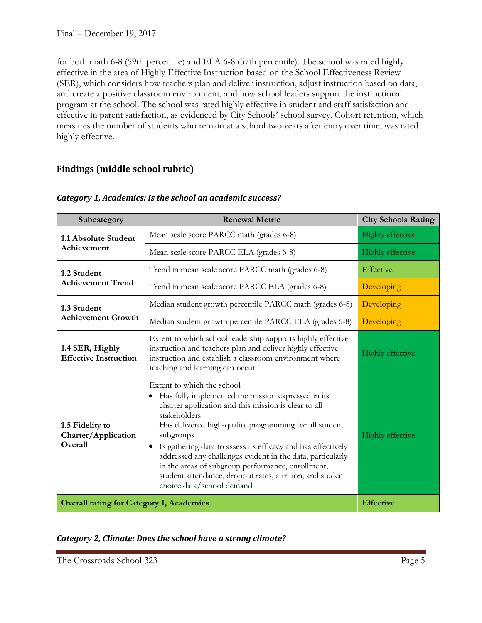for both math 6-8 (59th percentile) and ELA 6-8 (57th percentile). The school was rated highly effective in the area of Highly Effective Instruction based on the School Effectiveness Review (SER), which considers how teachers plan and deliver instruction, adjust instruction based on data, and create a positive classroom environment, and how school leaders support the instructional program at the school. The school was rated highly effective in student and staff satisfaction and effective in parent satisfaction, as evidenced by City Schools' school survey. Cohort retention, which measures the number of students who remain at a school two years after entry over time, was rated highly effective.

#### **Findings (middle school rubric)**

| Subcategory                                       | <b>Renewal Metric</b>                                                                                                                                                                                                                                                                                                                                                                                                                                                                                                     | <b>City Schools Rating</b> |
|---------------------------------------------------|---------------------------------------------------------------------------------------------------------------------------------------------------------------------------------------------------------------------------------------------------------------------------------------------------------------------------------------------------------------------------------------------------------------------------------------------------------------------------------------------------------------------------|----------------------------|
| 1.1 Absolute Student<br>Achievement               | Mean scale score PARCC math (grades 6-8)                                                                                                                                                                                                                                                                                                                                                                                                                                                                                  | <b>Highly effective</b>    |
|                                                   | Mean scale score PARCC ELA (grades 6-8)                                                                                                                                                                                                                                                                                                                                                                                                                                                                                   | <b>Highly effective</b>    |
| 1.2 Student<br><b>Achievement Trend</b>           | Trend in mean scale score PARCC math (grades 6-8)                                                                                                                                                                                                                                                                                                                                                                                                                                                                         | Effective                  |
|                                                   | Trend in mean scale score PARCC ELA (grades 6-8)                                                                                                                                                                                                                                                                                                                                                                                                                                                                          | Developing                 |
| 1.3 Student<br><b>Achievement Growth</b>          | Median student growth percentile PARCC math (grades 6-8)                                                                                                                                                                                                                                                                                                                                                                                                                                                                  | Developing                 |
|                                                   | Median student growth percentile PARCC ELA (grades 6-8)                                                                                                                                                                                                                                                                                                                                                                                                                                                                   | Developing                 |
| 1.4 SER, Highly<br><b>Effective Instruction</b>   | Extent to which school leadership supports highly effective<br>instruction and teachers plan and deliver highly effective<br>instruction and establish a classroom environment where<br>teaching and learning can occur                                                                                                                                                                                                                                                                                                   | <b>Highly effective</b>    |
| 1.5 Fidelity to<br>Charter/Application<br>Overall | Extent to which the school<br>Has fully implemented the mission expressed in its<br>charter application and this mission is clear to all<br>stakeholders<br>Has delivered high-quality programming for all student<br>subgroups<br>Is gathering data to assess its efficacy and has effectively<br>$\bullet$<br>addressed any challenges evident in the data, particularly<br>in the areas of subgroup performance, enrollment,<br>student attendance, dropout rates, attrition, and student<br>choice data/school demand |                            |
| <b>Overall rating for Category 1, Academics</b>   |                                                                                                                                                                                                                                                                                                                                                                                                                                                                                                                           | <b>Effective</b>           |

#### *Category 1, Academics: Is the school an academic success?*

|  |  |  | Category 2, Climate: Does the school have a strong climate? |  |
|--|--|--|-------------------------------------------------------------|--|
|--|--|--|-------------------------------------------------------------|--|

The Crossroads School 323 Page 5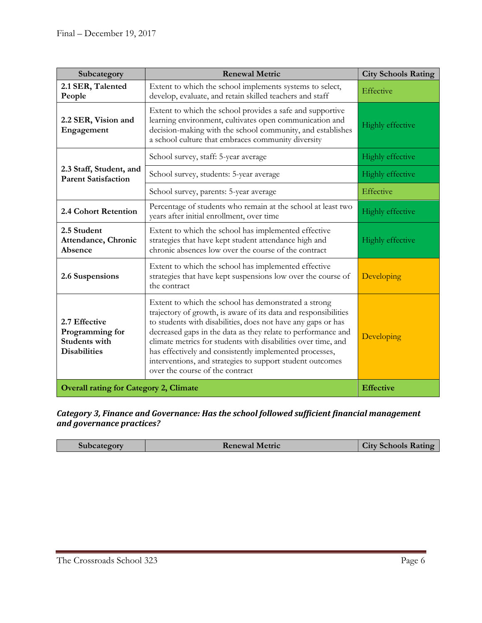| Subcategory                                                                     | <b>Renewal Metric</b>                                                                                                                                                                                                                                                                                                                                                                                                                                                               | <b>City Schools Rating</b> |
|---------------------------------------------------------------------------------|-------------------------------------------------------------------------------------------------------------------------------------------------------------------------------------------------------------------------------------------------------------------------------------------------------------------------------------------------------------------------------------------------------------------------------------------------------------------------------------|----------------------------|
| 2.1 SER, Talented<br>People                                                     | Extent to which the school implements systems to select,<br>develop, evaluate, and retain skilled teachers and staff                                                                                                                                                                                                                                                                                                                                                                | Effective                  |
| 2.2 SER, Vision and<br>Engagement                                               | Extent to which the school provides a safe and supportive<br>learning environment, cultivates open communication and<br>decision-making with the school community, and establishes<br>a school culture that embraces community diversity                                                                                                                                                                                                                                            | Highly effective           |
| 2.3 Staff, Student, and<br><b>Parent Satisfaction</b>                           | School survey, staff: 5-year average                                                                                                                                                                                                                                                                                                                                                                                                                                                | Highly effective           |
|                                                                                 | School survey, students: 5-year average                                                                                                                                                                                                                                                                                                                                                                                                                                             | Highly effective           |
|                                                                                 | School survey, parents: 5-year average                                                                                                                                                                                                                                                                                                                                                                                                                                              | Effective                  |
| 2.4 Cohort Retention                                                            | Percentage of students who remain at the school at least two<br>years after initial enrollment, over time                                                                                                                                                                                                                                                                                                                                                                           | Highly effective           |
| 2.5 Student<br>Attendance, Chronic<br>Absence                                   | Extent to which the school has implemented effective<br>strategies that have kept student attendance high and<br>chronic absences low over the course of the contract                                                                                                                                                                                                                                                                                                               | Highly effective           |
| 2.6 Suspensions                                                                 | Extent to which the school has implemented effective<br>strategies that have kept suspensions low over the course of<br>the contract                                                                                                                                                                                                                                                                                                                                                | Developing                 |
| 2.7 Effective<br>Programming for<br><b>Students with</b><br><b>Disabilities</b> | Extent to which the school has demonstrated a strong<br>trajectory of growth, is aware of its data and responsibilities<br>to students with disabilities, does not have any gaps or has<br>decreased gaps in the data as they relate to performance and<br>climate metrics for students with disabilities over time, and<br>has effectively and consistently implemented processes,<br>interventions, and strategies to support student outcomes<br>over the course of the contract | Developing                 |
| <b>Overall rating for Category 2, Climate</b>                                   |                                                                                                                                                                                                                                                                                                                                                                                                                                                                                     | <b>Effective</b>           |

#### *Category 3, Finance and Governance: Has the school followed sufficient financial management and governance practices?*

| Subcategory<br><b>Renewal Metric</b> | <b>City Schools Rating</b> |
|--------------------------------------|----------------------------|
|--------------------------------------|----------------------------|